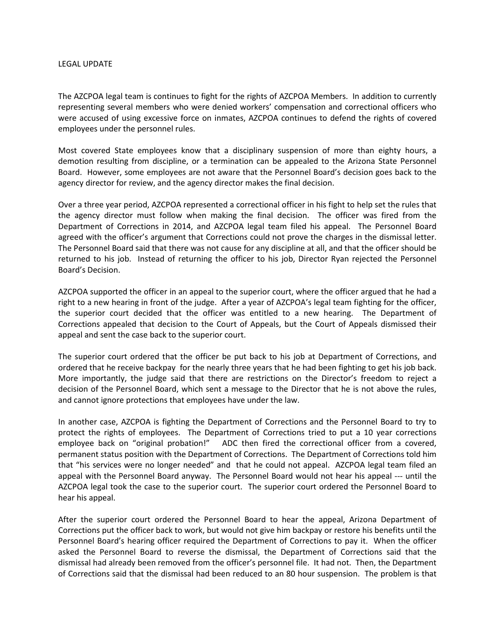## LEGAL UPDATE

The AZCPOA legal team is continues to fight for the rights of AZCPOA Members. In addition to currently representing several members who were denied workers' compensation and correctional officers who were accused of using excessive force on inmates, AZCPOA continues to defend the rights of covered employees under the personnel rules.

Most covered State employees know that a disciplinary suspension of more than eighty hours, a demotion resulting from discipline, or a termination can be appealed to the Arizona State Personnel Board. However, some employees are not aware that the Personnel Board's decision goes back to the agency director for review, and the agency director makes the final decision.

Over a three year period, AZCPOA represented a correctional officer in his fight to help set the rules that the agency director must follow when making the final decision. The officer was fired from the Department of Corrections in 2014, and AZCPOA legal team filed his appeal. The Personnel Board agreed with the officer's argument that Corrections could not prove the charges in the dismissal letter. The Personnel Board said that there was not cause for any discipline at all, and that the officer should be returned to his job. Instead of returning the officer to his job, Director Ryan rejected the Personnel Board's Decision.

AZCPOA supported the officer in an appeal to the superior court, where the officer argued that he had a right to a new hearing in front of the judge. After a year of AZCPOA's legal team fighting for the officer, the superior court decided that the officer was entitled to a new hearing. The Department of Corrections appealed that decision to the Court of Appeals, but the Court of Appeals dismissed their appeal and sent the case back to the superior court.

The superior court ordered that the officer be put back to his job at Department of Corrections, and ordered that he receive backpay for the nearly three years that he had been fighting to get his job back. More importantly, the judge said that there are restrictions on the Director's freedom to reject a decision of the Personnel Board, which sent a message to the Director that he is not above the rules, and cannot ignore protections that employees have under the law.

In another case, AZCPOA is fighting the Department of Corrections and the Personnel Board to try to protect the rights of employees. The Department of Corrections tried to put a 10 year corrections employee back on "original probation!" ADC then fired the correctional officer from a covered, permanent status position with the Department of Corrections. The Department of Corrections told him that "his services were no longer needed" and that he could not appeal. AZCPOA legal team filed an appeal with the Personnel Board anyway. The Personnel Board would not hear his appeal --- until the AZCPOA legal took the case to the superior court. The superior court ordered the Personnel Board to hear his appeal.

After the superior court ordered the Personnel Board to hear the appeal, Arizona Department of Corrections put the officer back to work, but would not give him backpay or restore his benefits until the Personnel Board's hearing officer required the Department of Corrections to pay it. When the officer asked the Personnel Board to reverse the dismissal, the Department of Corrections said that the dismissal had already been removed from the officer's personnel file. It had not. Then, the Department of Corrections said that the dismissal had been reduced to an 80 hour suspension. The problem is that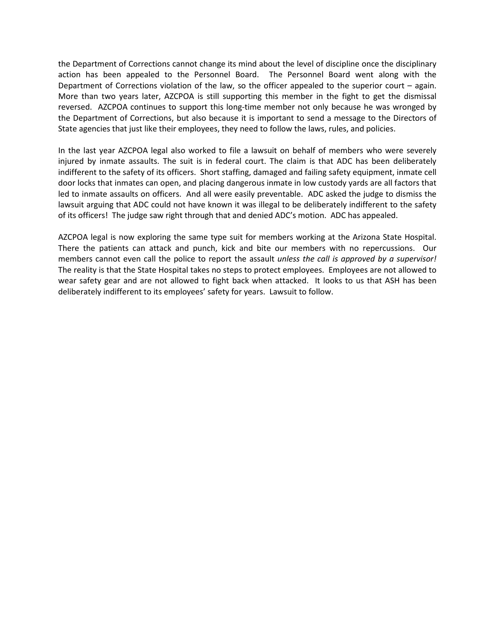the Department of Corrections cannot change its mind about the level of discipline once the disciplinary action has been appealed to the Personnel Board. The Personnel Board went along with the Department of Corrections violation of the law, so the officer appealed to the superior court – again. More than two years later, AZCPOA is still supporting this member in the fight to get the dismissal reversed. AZCPOA continues to support this long-time member not only because he was wronged by the Department of Corrections, but also because it is important to send a message to the Directors of State agencies that just like their employees, they need to follow the laws, rules, and policies.

In the last year AZCPOA legal also worked to file a lawsuit on behalf of members who were severely injured by inmate assaults. The suit is in federal court. The claim is that ADC has been deliberately indifferent to the safety of its officers. Short staffing, damaged and failing safety equipment, inmate cell door locks that inmates can open, and placing dangerous inmate in low custody yards are all factors that led to inmate assaults on officers. And all were easily preventable. ADC asked the judge to dismiss the lawsuit arguing that ADC could not have known it was illegal to be deliberately indifferent to the safety of its officers! The judge saw right through that and denied ADC's motion. ADC has appealed.

AZCPOA legal is now exploring the same type suit for members working at the Arizona State Hospital. There the patients can attack and punch, kick and bite our members with no repercussions. Our members cannot even call the police to report the assault *unless the call is approved by a supervisor!* The reality is that the State Hospital takes no steps to protect employees. Employees are not allowed to wear safety gear and are not allowed to fight back when attacked. It looks to us that ASH has been deliberately indifferent to its employees' safety for years. Lawsuit to follow.